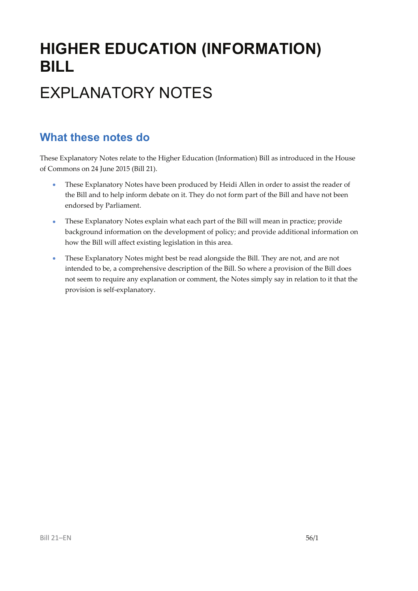# **HIGHER EDUCATION (INFORMATION) BILL** EXPLANATORY NOTES

### **What these notes do**

These Explanatory Notes relate to the Higher Education (Information) Bill as introduced in the House of Commons on 24 June 2015 (Bill 21).

- These Explanatory Notes have been produced by Heidi Allen in order to assist the reader of the Bill and to help inform debate on it. They do not form part of the Bill and have not been endorsed by Parliament.
- These Explanatory Notes explain what each part of the Bill will mean in practice; provide background information on the development of policy; and provide additional information on how the Bill will affect existing legislation in this area.
- These Explanatory Notes might best be read alongside the Bill. They are not, and are not intended to be, a comprehensive description of the Bill. So where a provision of the Bill does not seem to require any explanation or comment, the Notes simply say in relation to it that the provision is self‐explanatory.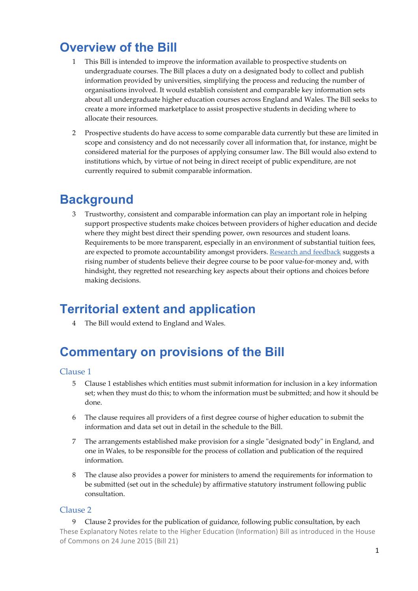### **Overview of the Bill**

- 1 This Bill is intended to improve the information available to prospective students on undergraduate courses. The Bill places a duty on a designated body to collect and publish information provided by universities, simplifying the process and reducing the number of organisations involved. It would establish consistent and comparable key information sets about all undergraduate higher education courses across England and Wales. The Bill seeks to create a more informed marketplace to assist prospective students in deciding where to allocate their resources.
- 2 Prospective students do have access to some comparable data currently but these are limited in scope and consistency and do not necessarily cover all information that, for instance, might be considered material for the purposes of applying consumer law. The Bill would also extend to institutions which, by virtue of not being in direct receipt of public expenditure, are not currently required to submit comparable information.

### **Background**

3 Trustworthy, consistent and comparable information can play an important role in helping support prospective students make choices between providers of higher education and decide where they might best direct their spending power, own resources and student loans. Requirements to be more transparent, especially in an environment of substantial tuition fees, are expected to promote accountability amongst providers. Research and feedback suggests a rising number of students believe their degree course to be poor value‐for‐money and, with hindsight, they regretted not researching key aspects about their options and choices before making decisions.

## **Territorial extent and application**

4 The Bill would extend to England and Wales.

## **Commentary on provisions of the Bill**

#### Clause 1

- 5 Clause 1 establishes which entities must submit information for inclusion in a key information set; when they must do this; to whom the information must be submitted; and how it should be done.
- 6 The clause requires all providers of a first degree course of higher education to submit the information and data set out in detail in the schedule to the Bill.
- 7 The arrangements established make provision for a single "designated body" in England, and one in Wales, to be responsible for the process of collation and publication of the required information.
- 8 The clause also provides a power for ministers to amend the requirements for information to be submitted (set out in the schedule) by affirmative statutory instrument following public consultation.

#### Clause 2

These Explanatory Notes relate to the Higher Education (Information) Bill as introduced in the House of Commons on 24 June 2015 (Bill 21) 9 Clause 2 provides for the publication of guidance, following public consultation, by each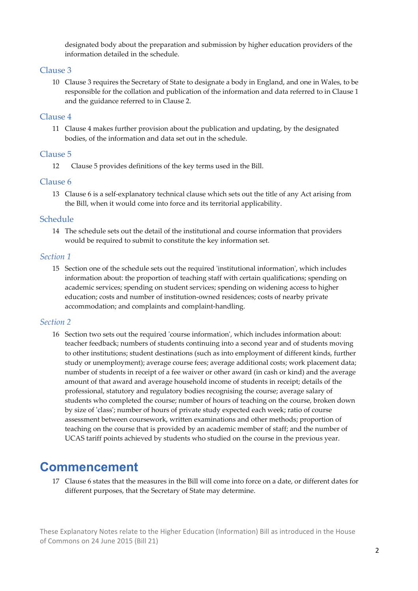designated body about the preparation and submission by higher education providers of the information detailed in the schedule.

#### Clause 3

10 Clause 3 requires the Secretary of State to designate a body in England, and one in Wales, to be responsible for the collation and publication of the information and data referred to in Clause 1 and the guidance referred to in Clause 2.

#### Clause 4

11 Clause 4 makes further provision about the publication and updating, by the designated bodies, of the information and data set out in the schedule.

#### Clause 5

12 Clause 5 provides definitions of the key terms used in the Bill.

#### Clause 6

13 Clause 6 is a self-explanatory technical clause which sets out the title of any Act arising from the Bill, when it would come into force and its territorial applicability.

#### Schedule

14 The schedule sets out the detail of the institutional and course information that providers would be required to submit to constitute the key information set.

#### *Section 1*

15 Section one of the schedule sets out the required ʹinstitutional informationʹ, which includes information about: the proportion of teaching staff with certain qualifications; spending on academic services; spending on student services; spending on widening access to higher education; costs and number of institution-owned residences; costs of nearby private accommodation; and complaints and complaint‐handling.

#### *Section 2*

16 Section two sets out the required ʹcourse informationʹ, which includes information about: teacher feedback; numbers of students continuing into a second year and of students moving to other institutions; student destinations (such as into employment of different kinds, further study or unemployment); average course fees; average additional costs; work placement data; number of students in receipt of a fee waiver or other award (in cash or kind) and the average amount of that award and average household income of students in receipt; details of the professional, statutory and regulatory bodies recognising the course; average salary of students who completed the course; number of hours of teaching on the course, broken down by size of 'class'; number of hours of private study expected each week; ratio of course assessment between coursework, written examinations and other methods; proportion of teaching on the course that is provided by an academic member of staff; and the number of UCAS tariff points achieved by students who studied on the course in the previous year.

### **Commencement**

17 Clause 6 states that the measures in the Bill will come into force on a date, or different dates for different purposes, that the Secretary of State may determine.

These Explanatory Notes relate to the Higher Education (Information) Bill as introduced in the House of Commons on 24 June 2015 (Bill 21)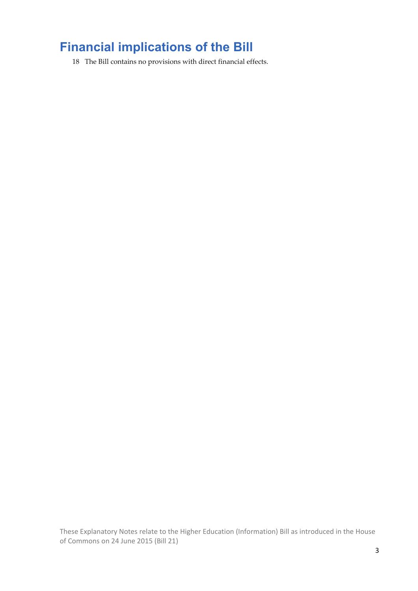## **Financial implications of the Bill**

18 The Bill contains no provisions with direct financial effects.

These Explanatory Notes relate to the Higher Education (Information) Bill as introduced in the House of Commons on 24 June 2015 (Bill 21)